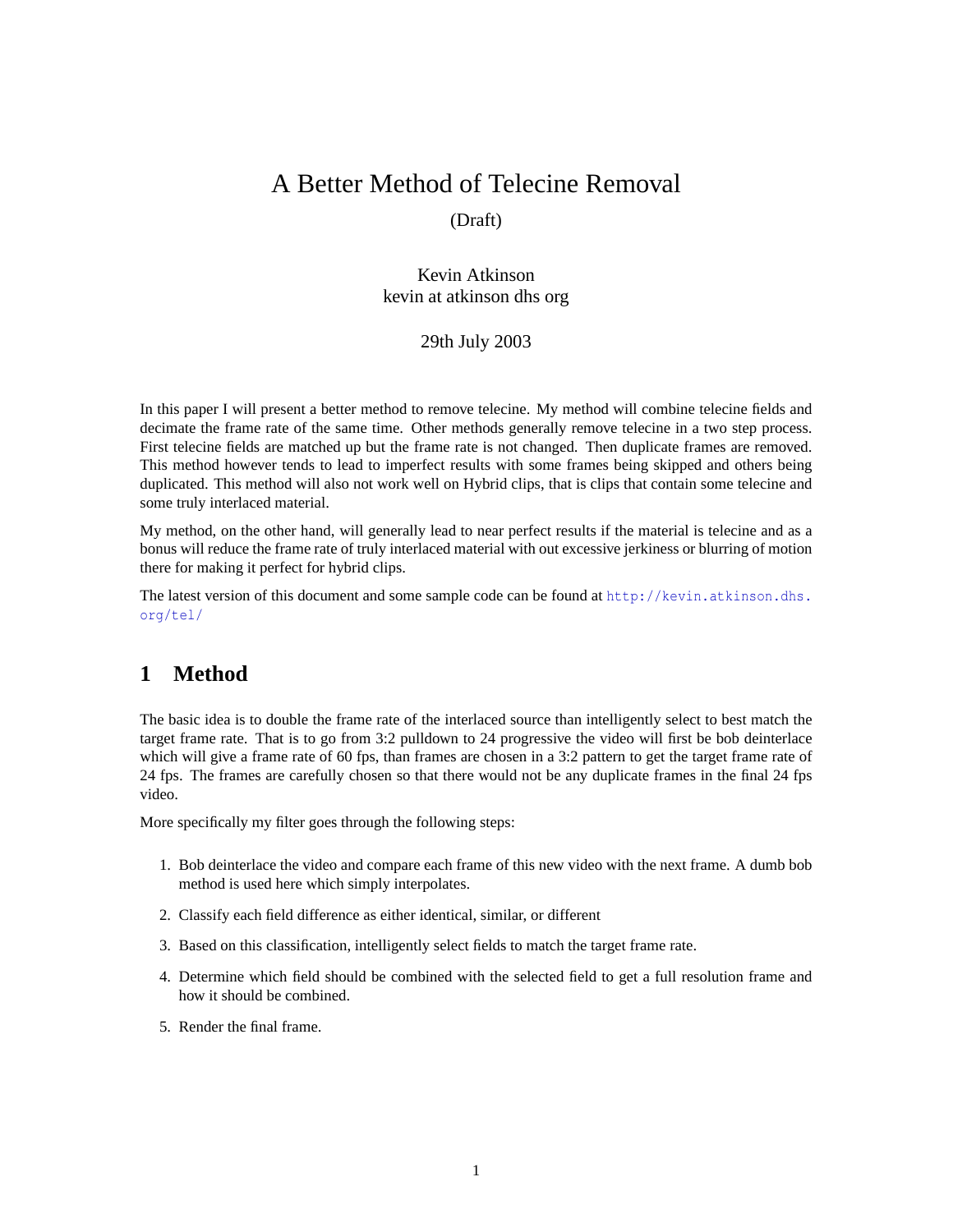# A Better Method of Telecine Removal

# (Draft)

Kevin Atkinson kevin at atkinson dhs org

### 29th July 2003

In this paper I will present a better method to remove telecine. My method will combine telecine fields and decimate the frame rate of the same time. Other methods generally remove telecine in a two step process. First telecine fields are matched up but the frame rate is not changed. Then duplicate frames are removed. This method however tends to lead to imperfect results with some frames being skipped and others being duplicated. This method will also not work well on Hybrid clips, that is clips that contain some telecine and some truly interlaced material.

My method, on the other hand, will generally lead to near perfect results if the material is telecine and as a bonus will reduce the frame rate of truly interlaced material with out excessive jerkiness or blurring of motion there for making it perfect for hybrid clips.

The latest version of this document and some sample code can be found at [http://kevin.atkinson.dhs.](http://kevin.atkinson.dhs.org/tel/) [org/tel/](http://kevin.atkinson.dhs.org/tel/)

# **1 Method**

The basic idea is to double the frame rate of the interlaced source than intelligently select to best match the target frame rate. That is to go from 3:2 pulldown to 24 progressive the video will first be bob deinterlace which will give a frame rate of 60 fps, than frames are chosen in a 3:2 pattern to get the target frame rate of 24 fps. The frames are carefully chosen so that there would not be any duplicate frames in the final 24 fps video.

More specifically my filter goes through the following steps:

- 1. Bob deinterlace the video and compare each frame of this new video with the next frame. A dumb bob method is used here which simply interpolates.
- 2. Classify each field difference as either identical, similar, or different
- 3. Based on this classification, intelligently select fields to match the target frame rate.
- 4. Determine which field should be combined with the selected field to get a full resolution frame and how it should be combined.
- 5. Render the final frame.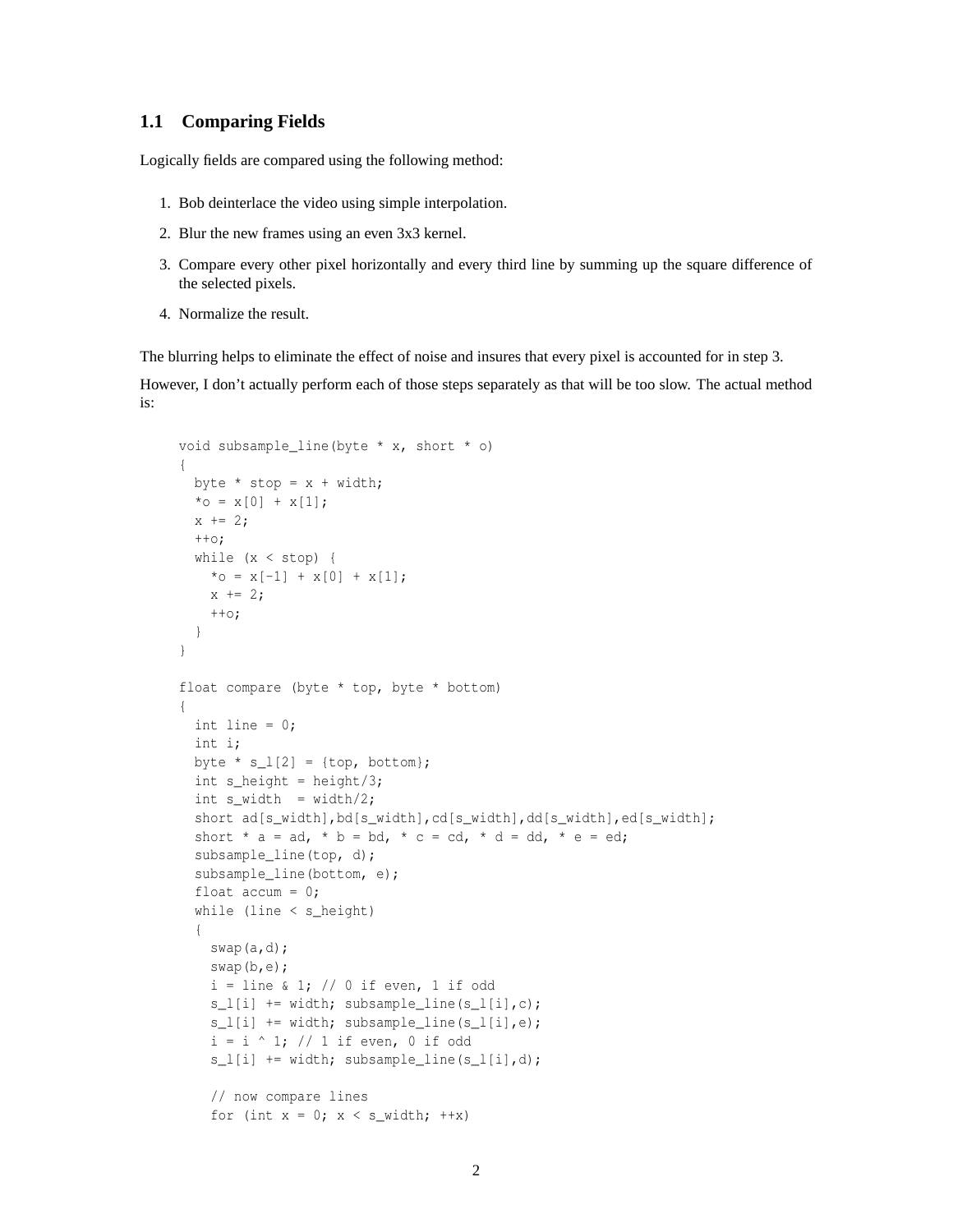### **1.1 Comparing Fields**

Logically fields are compared using the following method:

- 1. Bob deinterlace the video using simple interpolation.
- 2. Blur the new frames using an even 3x3 kernel.
- 3. Compare every other pixel horizontally and every third line by summing up the square difference of the selected pixels.
- 4. Normalize the result.

The blurring helps to eliminate the effect of noise and insures that every pixel is accounted for in step 3.

However, I don't actually perform each of those steps separately as that will be too slow. The actual method is:

```
void subsample_line(byte * x, short * o)
{
 byte * stop = x + width;*_{\circ} = x[0] + x[1];x \neq 2;++\circ;while (x < stop) {
   *_{0} = x[-1] + x[0] + x[1];x \neq 2;++\circ;}
}
float compare (byte * top, byte * bottom)
{
 int line = 0;
 int i;
  byte * s_l[2] = \{top, bottom\};int s_height = height/3;
 int s_width = width/2;
  short ad[s_width],bd[s_width],cd[s_width],dd[s_width],ed[s_width];
  short * a = ad, * b = bd, * c = cd, * d = dd, * e = ed;
  subsample_line(top, d);
  subsample_line(bottom, e);
  float accum = 0;while (line < s_height)
  {
    swap(a,d);
    swap(b,e);
    i = line & 1; // 0 if even, 1 if odd
    s_l[i] += width; subsample_line(s_l[i],c);
    s l[i] += width; subsample line(s l[i],e);
    i = i \land 1; // 1 if even, 0 if odds_l[i] += width; subsample_line(s_l[i],d);
    // now compare lines
    for (int x = 0; x < s_width; ++x)
```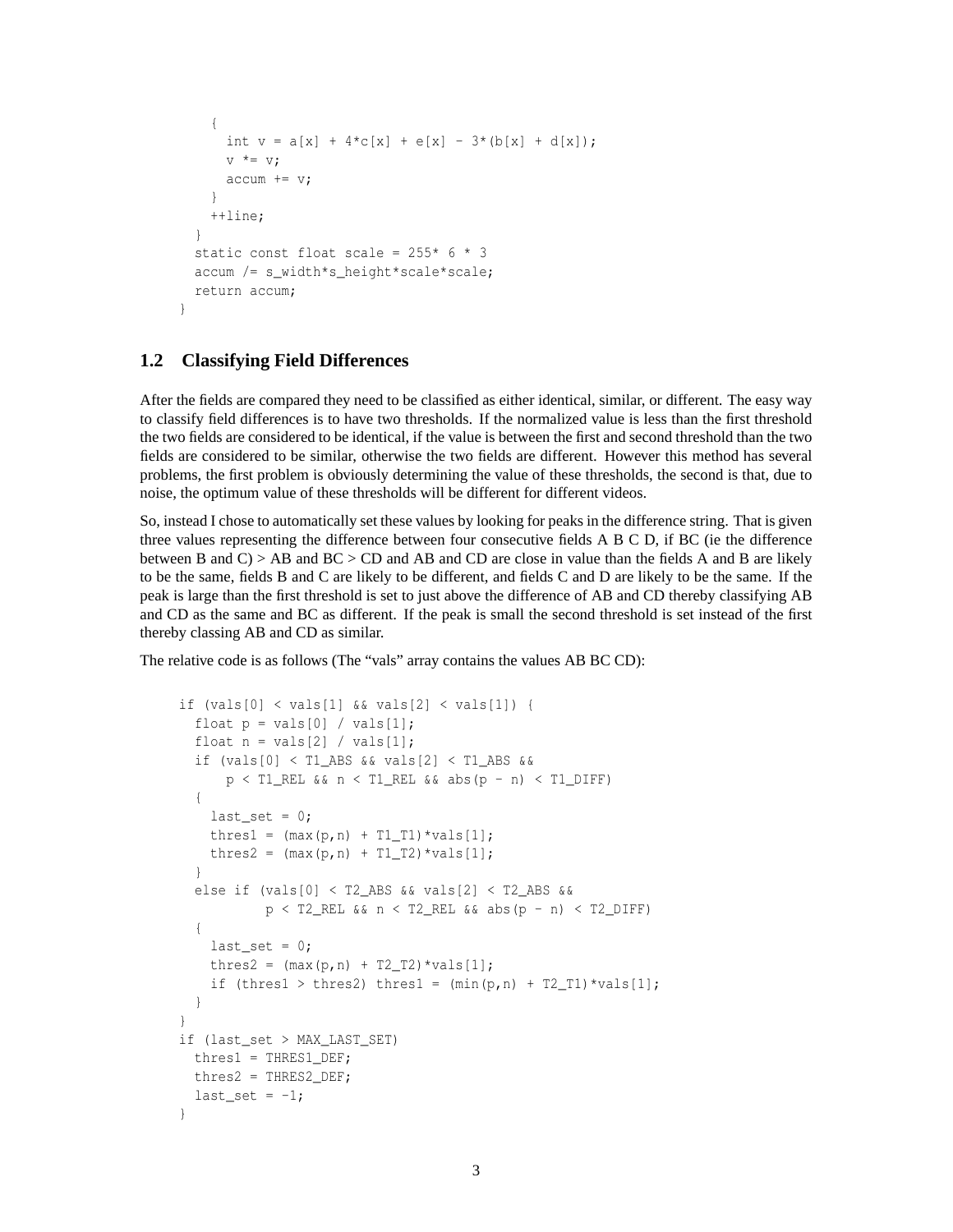```
{
      int v = a[x] + 4 \cdot c[x] + e[x] - 3 \cdot (b[x] + d[x]);V^* = V;accum += v;}
    ++line;
  }
  static const float scale = 255* 6* 3accum /= s_width*s_height*scale*scale;
  return accum;
}
```
#### **1.2 Classifying Field Differences**

After the fields are compared they need to be classified as either identical, similar, or different. The easy way to classify field differences is to have two thresholds. If the normalized value is less than the first threshold the two fields are considered to be identical, if the value is between the first and second threshold than the two fields are considered to be similar, otherwise the two fields are different. However this method has several problems, the first problem is obviously determining the value of these thresholds, the second is that, due to noise, the optimum value of these thresholds will be different for different videos.

So, instead I chose to automatically set these values by looking for peaks in the difference string. That is given three values representing the difference between four consecutive fields A B C D, if BC (ie the difference between B and  $C$ ) > AB and  $BC$  >  $CD$  and AB and  $CD$  are close in value than the fields A and B are likely to be the same, fields B and C are likely to be different, and fields C and D are likely to be the same. If the peak is large than the first threshold is set to just above the difference of AB and CD thereby classifying AB and CD as the same and BC as different. If the peak is small the second threshold is set instead of the first thereby classing AB and CD as similar.

The relative code is as follows (The "vals" array contains the values AB BC CD):

```
if (vals[0] \le vals[1] && vals[2] \le vals[1]) {
  float p = vals[0] / vals[1];float n = vals[2] / vals[1];if (vals[0] < T1_ABS && vals[2] < T1_ABS &&
      p < T1_REL && n < T1_REL && abs(p - n) < T1_DIFF)
  {
    last_set = 0;thres1 = (max(p, n) + T1_T1)*vals[1];thres2 = (max(p, n) + T1_T2) *vals[1];}
  else if (vals[0] < T2_ABS && vals[2] < T2_ABS &&
           p < T2<sub>REL & a n < T2<sub>REL</sub> & a abs(p - n) < T2 DIFF)</sub>
  {
    last_set = 0;thres2 = (max(p, n) + T2_T2)*vals[1];if (thres1 > thres2) thres1 = (\min(p, n) + T2_T1)*\text{vals[1]};
  }
}
if (last_set > MAX_LAST_SET)
  thres1 = THRES1_DEF;
  thres2 = THRES2_DEF;
  last_set = -1;}
```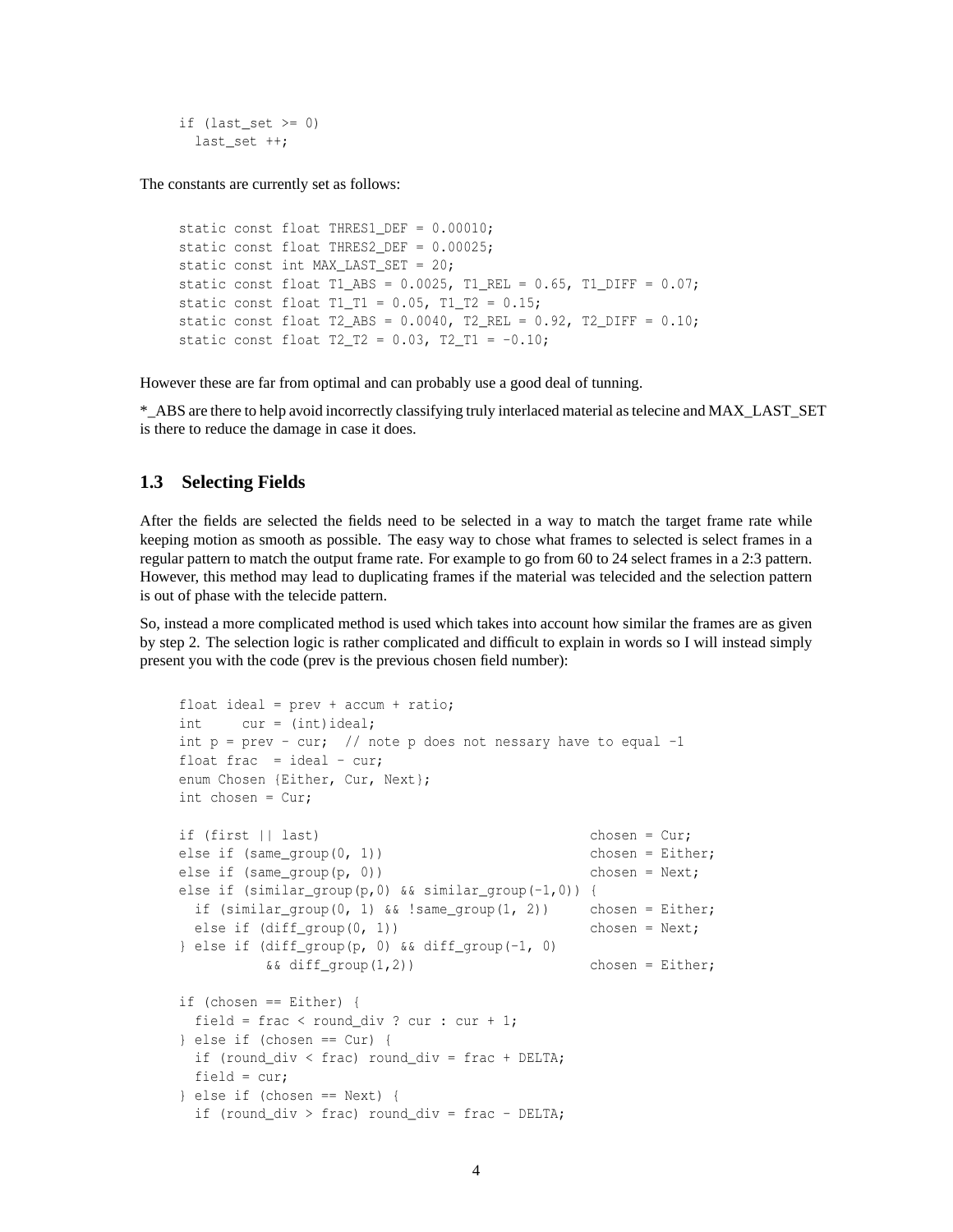if (last set  $>= 0$ ) last set ++;

The constants are currently set as follows:

```
static const float THRES1_DEF = 0.00010;
static const float THRES2_DEF = 0.00025;
static const int MAX_LAST_SET = 20;
static const float T1_ABS = 0.0025, T1_REL = 0.65, T1_DIFF = 0.07;
static const float T1_T1 = 0.05, T1_T2 = 0.15;
static const float T2_ABS = 0.0040, T2_REL = 0.92, T2_DIFF = 0.10;
static const float T2_T2 = 0.03, T2_T1 = -0.10;
```
However these are far from optimal and can probably use a good deal of tunning.

\*\_ABS are there to help avoid incorrectly classifying truly interlaced material as telecine and MAX\_LAST\_SET is there to reduce the damage in case it does.

#### **1.3 Selecting Fields**

After the fields are selected the fields need to be selected in a way to match the target frame rate while keeping motion as smooth as possible. The easy way to chose what frames to selected is select frames in a regular pattern to match the output frame rate. For example to go from 60 to 24 select frames in a 2:3 pattern. However, this method may lead to duplicating frames if the material was telecided and the selection pattern is out of phase with the telecide pattern.

So, instead a more complicated method is used which takes into account how similar the frames are as given by step 2. The selection logic is rather complicated and difficult to explain in words so I will instead simply present you with the code (prev is the previous chosen field number):

```
float ideal = prev + accum + ratio;int cur = (int)ideal;
int p = prev - cur; // note p does not nessary have to equal -1
float frac = ideal - cur;
enum Chosen {Either, Cur, Next};
int chosen = Cur;
if (first || last) chosen = Cur;
else if (same_qroup(0, 1)) chosen = Either;
else if (same_group(p, 0)) chosen = Next;
else if (similar_group(p,0) && similar_group(-1,0)) {
 if (similar_group(0, 1) &\& !same_group(1, 2)) chosen = Either;
 else if (diff group(0, 1)) chosen = Next;
} else if (diff_group(p, 0) && diff_group(-1, 0)
         &\&\; diff_group(1,2)) chosen = Either;
if (chosen == Either) {
 field = frac < round div ? cur : cur + 1;
} else if (chosen == Cur) {
 if (round_div < frac) round_div = frac + DELTA;
 field = cur;
} else if (chosen == Next) {
 if (round_div > frac) round_div = frac - DELTA;
```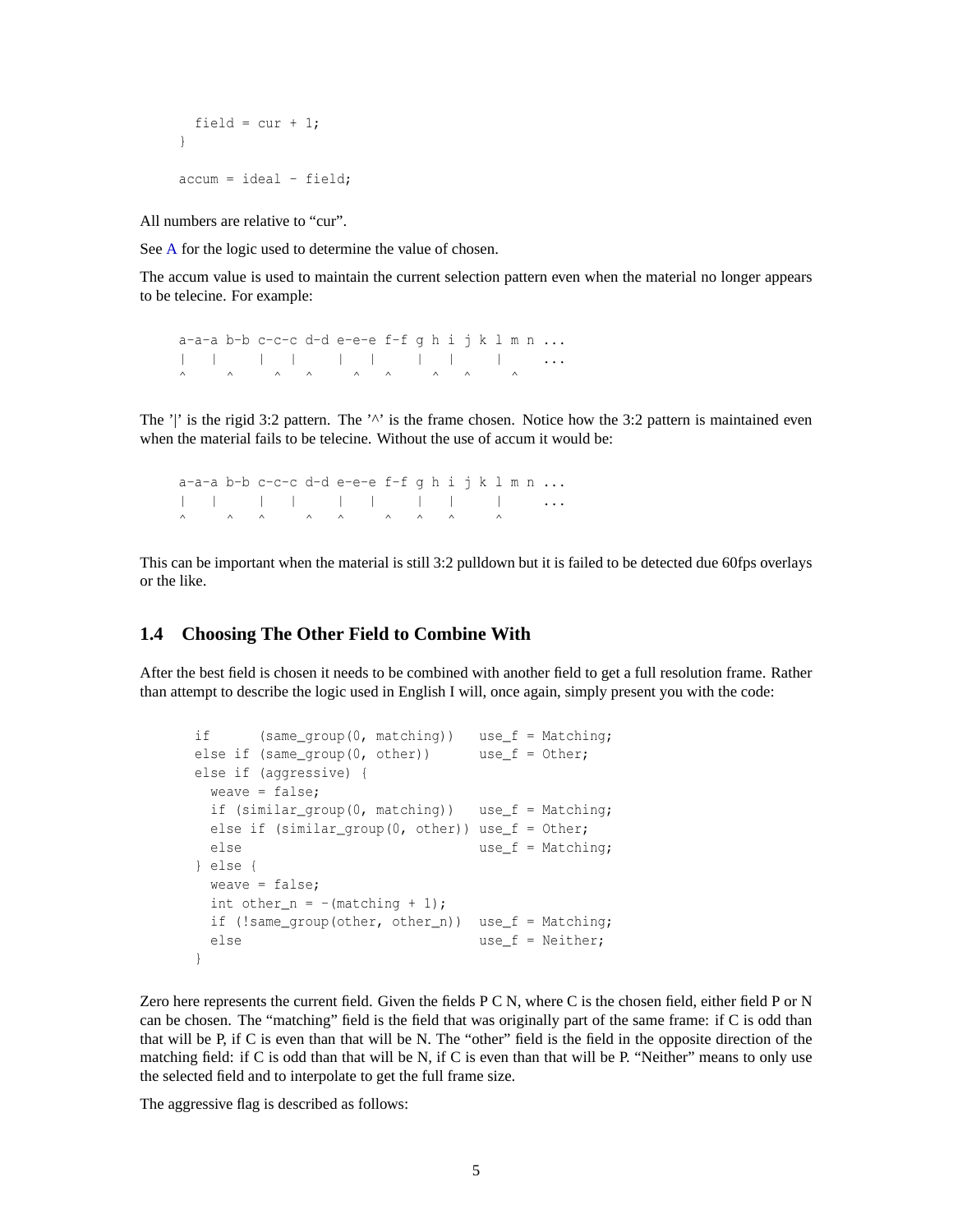```
field = cur + 1;
}
accum = ideal - field;
```
All numbers are relative to "cur".

See [A](#page-5-0) for the logic used to determine the value of chosen.

The accum value is used to maintain the current selection pattern even when the material no longer appears to be telecine. For example:

```
a-a-a b-b c-c-c d-d e-e-e f-f g h i j k l m n ...
| | | | | | | | | ...
\wedge \wedge \wedge \wedge \wedge \wedge \wedge \wedge \wedge \wedge
```
The '|' is the rigid 3:2 pattern. The ' $\wedge$ ' is the frame chosen. Notice how the 3:2 pattern is maintained even when the material fails to be telecine. Without the use of accum it would be:

a-a-a b-b c-c-c d-d e-e-e f-f q h i j k l m n  $\ldots$ | | | | | | | | | ...  $\wedge$   $\wedge$   $\wedge$   $\wedge$   $\wedge$   $\wedge$   $\wedge$   $\wedge$   $\wedge$   $\wedge$ 

This can be important when the material is still 3:2 pulldown but it is failed to be detected due 60fps overlays or the like.

### **1.4 Choosing The Other Field to Combine With**

After the best field is chosen it needs to be combined with another field to get a full resolution frame. Rather than attempt to describe the logic used in English I will, once again, simply present you with the code:

```
if (same group(0, matching)) use f = Matching;
else if (same_group(0, other)) use_f = Other;
else if (aggressive) {
 weave = false;
 if (similar_group(0, matching)) use_f = Matching;
 else if (similar_group(0, other)) use_f = Other;
 else use_f = Matching;
} else {
 weave = false;
 int other n = -(\text{matching } + 1);if (!same_group(other, other_n)) use_f = Matching;
 else use f = Neither;
}
```
Zero here represents the current field. Given the fields P C N, where C is the chosen field, either field P or N can be chosen. The "matching" field is the field that was originally part of the same frame: if C is odd than that will be P, if C is even than that will be N. The "other" field is the field in the opposite direction of the matching field: if C is odd than that will be N, if C is even than that will be P. "Neither" means to only use the selected field and to interpolate to get the full frame size.

The aggressive flag is described as follows: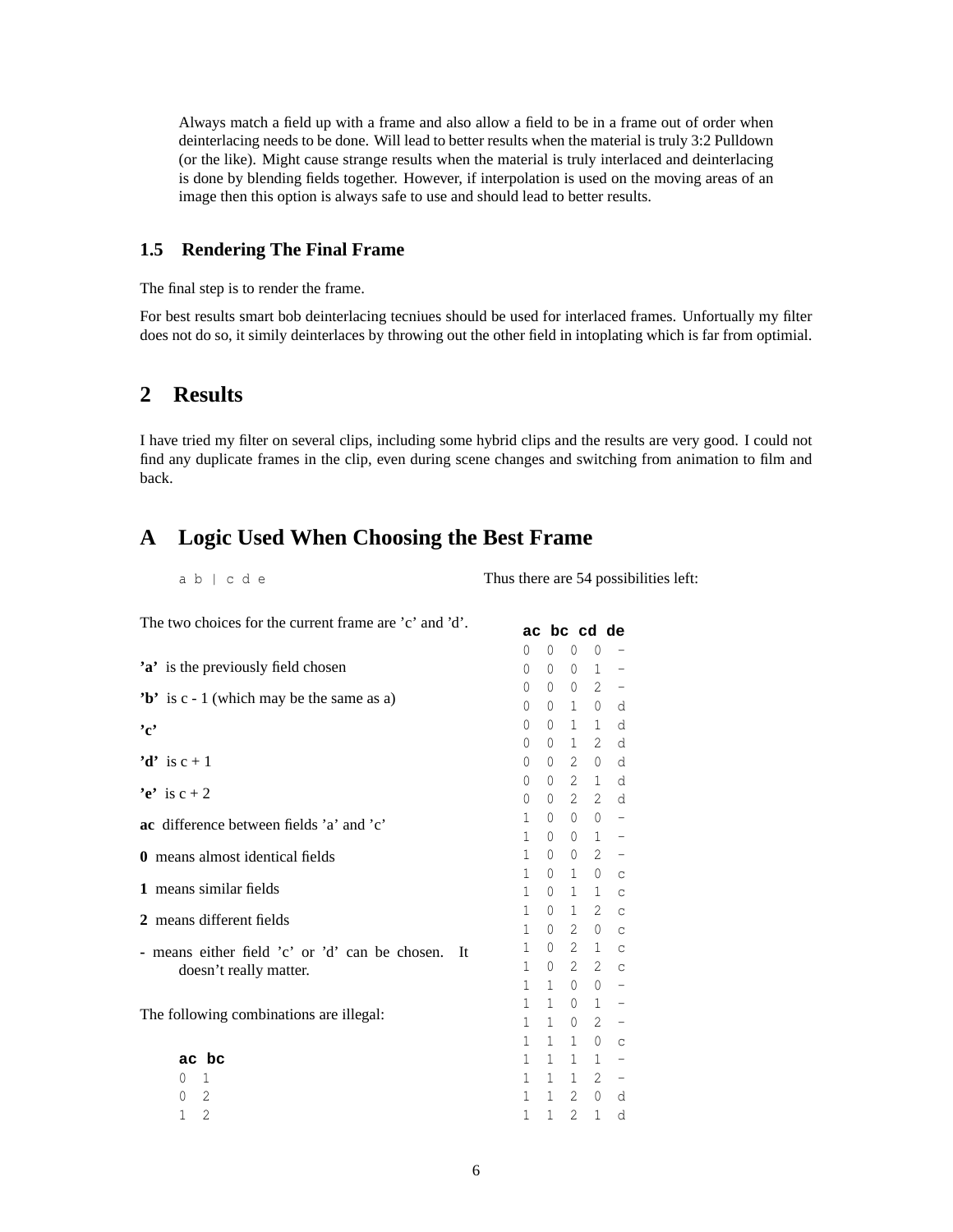Always match a field up with a frame and also allow a field to be in a frame out of order when deinterlacing needs to be done. Will lead to better results when the material is truly 3:2 Pulldown (or the like). Might cause strange results when the material is truly interlaced and deinterlacing is done by blending fields together. However, if interpolation is used on the moving areas of an image then this option is always safe to use and should lead to better results.

# **1.5 Rendering The Final Frame**

The final step is to render the frame.

For best results smart bob deinterlacing tecniues should be used for interlaced frames. Unfortually my filter does not do so, it simily deinterlaces by throwing out the other field in intoplating which is far from optimial.

# **2 Results**

I have tried my filter on several clips, including some hybrid clips and the results are very good. I could not find any duplicate frames in the clip, even during scene changes and switching from animation to film and back.

# <span id="page-5-0"></span>**A Logic Used When Choosing the Best Frame**

| $ab \mid cde$ | Thus there are 54 possibilities left: |
|---------------|---------------------------------------|
|---------------|---------------------------------------|

| The two choices for the current frame are 'c' and 'd'. | ac bc cd de  |              |                   |                       |                              |
|--------------------------------------------------------|--------------|--------------|-------------------|-----------------------|------------------------------|
|                                                        | 0            | 0            | $\mathbf{0}$      | $\theta$              |                              |
| 'a' is the previously field chosen                     | 0            | $\Omega$     | 0                 | 1                     | -                            |
|                                                        | 0            | $\Omega$     | $\Omega$          | $\mathbf{2}^{\prime}$ | $\qquad \qquad -$            |
| 'b' is $c - 1$ (which may be the same as a)            | 0            | 0            | 1                 | $\mathbf{0}$          | d                            |
| $, \cdot$                                              | 0            | $\Omega$     | 1                 | $\mathbf{1}$          | d                            |
|                                                        | 0            | 0            | $\mathbf{1}$      | $\mathbf{2}^{\prime}$ | d                            |
| 'd' is $c + 1$                                         | 0            | 0            | $\mathfrak{L}$    | $\Omega$              | d                            |
| 'e' is $c + 2$                                         | 0            | 0            | $\overline{2}$    | $\mathbf{1}$          | d                            |
|                                                        | 0            | $\Omega$     | $\overline{2}$    | $\mathfrak{L}$        | d                            |
| ac difference between fields 'a' and 'c'               | 1            | $\Omega$     | $\Omega$          | $\Omega$              | -                            |
|                                                        | 1            | $\Omega$     | $\Omega$          | $\mathbf{1}$          | -                            |
| <b>0</b> means almost identical fields                 | 1            | $\Omega$     | 0                 | 2                     | $\qquad \qquad -$            |
| 1 means similar fields                                 | 1            | 0            | $\mathbf{1}$      | $\mathbf{0}$          | $\mathsf C$                  |
|                                                        | 1<br>1       | $\Omega$     | 1<br>$\mathbf{1}$ | $\mathbf{1}$<br>2     | $\mathsf C$                  |
| 2 means different fields                               | 1            | 0<br>0       | $\overline{2}$    | 0                     | $\mathsf{C}$<br>$\mathsf{C}$ |
|                                                        | 1            | 0            | 2                 | $\mathbf{1}$          | $\mathsf{C}$                 |
| - means either field 'c' or 'd' can be chosen.<br>It   | 1            | 0            | $\mathfrak{L}$    | 2                     | $\mathsf{C}$                 |
| doesn't really matter.                                 | 1            | 1            | $\Omega$          | $\Omega$              | -                            |
|                                                        | 1            | 1            | $\Omega$          | $\mathbf{1}$          | -                            |
| The following combinations are illegal:                | 1            | 1            | $\mathbf{0}$      | 2                     | -                            |
|                                                        | $\mathbf{1}$ | 1            | $\mathbf{1}$      | 0                     | $\mathsf C$                  |
| ac bc                                                  | 1            | 1            | $\mathbf{1}$      | 1                     | $\qquad \qquad -$            |
| 1<br>$\Omega$                                          | $\mathbf{1}$ | $\mathbf 1$  | $\mathbf{1}$      | $\mathbf{2}^{\prime}$ | $\qquad \qquad -$            |
| 2<br>0                                                 | 1            | 1            | 2                 | $\mathbf{0}$          | d                            |
| 2<br>$\mathbf{1}$                                      | 1            | $\mathbf{1}$ | 2                 | $\mathbf{1}$          | d                            |
|                                                        |              |              |                   |                       |                              |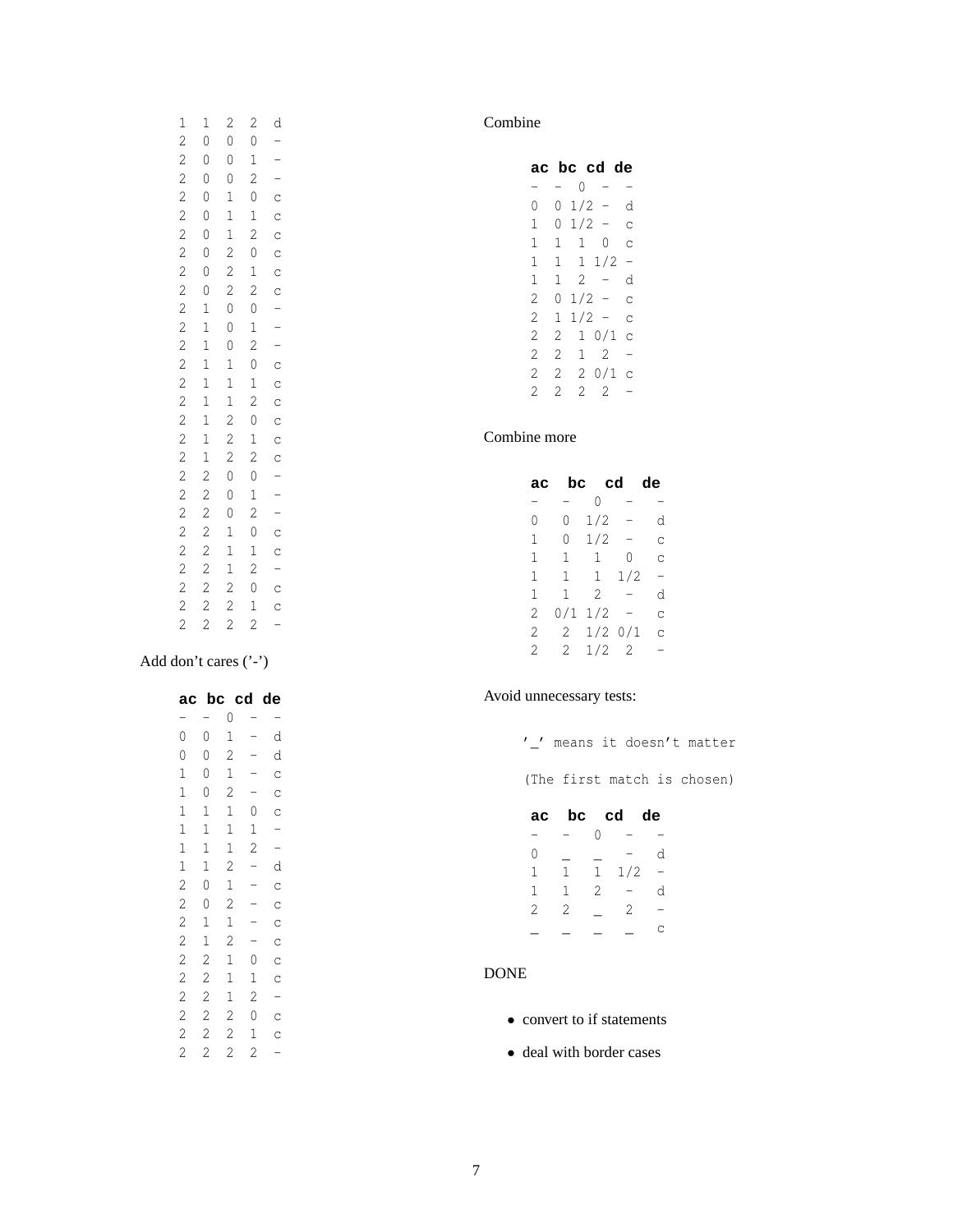| $\begin{matrix}1\\0\end{matrix}$ |                               |                           |  |
|----------------------------------|-------------------------------|---------------------------|--|
| $\circ$                          |                               |                           |  |
|                                  |                               |                           |  |
|                                  |                               |                           |  |
|                                  |                               |                           |  |
|                                  |                               |                           |  |
|                                  |                               |                           |  |
|                                  |                               |                           |  |
|                                  |                               |                           |  |
|                                  |                               |                           |  |
|                                  |                               |                           |  |
|                                  |                               |                           |  |
|                                  |                               |                           |  |
|                                  |                               |                           |  |
|                                  |                               |                           |  |
|                                  |                               |                           |  |
|                                  |                               |                           |  |
|                                  |                               |                           |  |
|                                  |                               |                           |  |
|                                  |                               |                           |  |
|                                  |                               |                           |  |
|                                  |                               |                           |  |
|                                  |                               |                           |  |
|                                  |                               |                           |  |
|                                  |                               |                           |  |
| 0000000011111111222222222        | 20001112200001112220000112222 | 2012012012012012012012012 |  |
|                                  |                               |                           |  |

# Add don't cares ('-')

| aс                                         | bc             | cd             |                | de            |
|--------------------------------------------|----------------|----------------|----------------|---------------|
| -                                          |                | 0              |                | -             |
| $\overline{0}$                             | $\circ$        | 1              | -              | d             |
| $\overline{0}$                             | $\circ$        | $\overline{c}$ | —<br>          | d             |
| $\mathbf{1}$                               | $\circ$        | $\mathbf{1}$   |                | $\circ$       |
| $\mathbf{1}$                               | $\overline{0}$ | $\overline{c}$ | $\frac{1}{1}$  | $\circ$       |
| $\mathbf{1}$                               | $\mathbf{1}$   | $\mathbf{1}$   | $\mathbf{0}$   |               |
| $\mathbf{1}$                               | $\mathbf{1}$   | $\mathbf{1}$   | $\mathbf{1}$   |               |
|                                            | $\mathbf{1}$   | $\mathbf{1}$   | $\overline{c}$ | $C - C$       |
|                                            | $\mathbf{1}$   | $\overline{c}$ | -              | d             |
| $\begin{array}{c} 1 \\ 1 \\ 2 \end{array}$ | $\circ$        | $\mathbf{1}$   | -              | $\frac{c}{c}$ |
|                                            | $\circ$        | $\overline{c}$ | $\overline{a}$ |               |
| $\frac{2}{2}$                              | $\mathbf{1}$   | $\mathbf{1}$   |                | $\circ$       |
|                                            | $\mathbf{1}$   | $\overline{c}$ | $\frac{1}{1}$  | $\circ$       |
| $\frac{2}{1}$                              | $\overline{c}$ | $\mathbf{1}$   | $\circ$        | $\circ$       |
|                                            | $\overline{c}$ | $\mathbf{1}$   | $\mathbf{1}$   | $\circ$       |
|                                            |                | $\mathbf{1}$   | $\overline{c}$ |               |
| $2222$ $222$                               | $\frac{2}{2}$  | $\overline{c}$ | $\overline{0}$ |               |
|                                            | $\overline{c}$ | $\overline{c}$ | $\mathbf{1}$   |               |
|                                            | $\overline{c}$ | $\overline{c}$ | $\overline{2}$ |               |

# Combine

| ac |    |               | bc cd de |                          |
|----|----|---------------|----------|--------------------------|
|    | -  |               | 0 –      |                          |
| 0  | 0  | $1/2 -$       |          | d                        |
| 1  | 0  | 1/2 -         |          | Ċ                        |
| 1  | 1. | $\mathbf{1}$  | 0        | Ċ                        |
| 1  |    | $1 \t1 \t1/2$ |          |                          |
| 1  | 1  |               | $2 -$    | d                        |
| 2  | 0  | $1/2 -$       |          | Ċ                        |
| 2  | 1  | $1/2 -$       |          | Ċ                        |
| 2  | 2  | 1             | 0/1      | Ċ                        |
| 2  | 2  | 1             | 2        | -                        |
| 2  | 2  | 2.            | 0/1      | C                        |
| 2  | 2  | 2             | 2        | $\overline{\phantom{0}}$ |
|    |    |               |          |                          |

# Combine more

| ac | bc  | cd             |     | de |
|----|-----|----------------|-----|----|
| -  |     | 0              | -   |    |
| 0  | 0   | 1/2            |     | d  |
| 1  | 0   | 1/2            | —   | Ċ  |
| 1  | 1   | 1              | 0   | С  |
| 1  | 1   | 1              | 1/2 | -  |
| 1  | 1   | $\overline{2}$ | -   | d  |
| 2  | 0/1 | 1/2            |     | Ċ  |
| 2  | 2   | 1/2            | 0/1 | Ċ  |
| 2  | 2.  | 1/2            | 2   |    |

# Avoid unnecessary tests:

|    |                |   |           |   | means it doesn't matter     |
|----|----------------|---|-----------|---|-----------------------------|
|    |                |   |           |   | (The first match is chosen) |
| ac |                |   | bc cd de  |   |                             |
|    |                |   |           |   |                             |
| 0  |                |   |           | d |                             |
| 1  | $\mathbf{1}$   |   | $1 \t1/2$ |   |                             |
| 1  | $\mathbf{1}$   | 2 |           | d |                             |
| 2  | $\overline{2}$ |   | 2         |   |                             |
|    |                |   |           |   |                             |

#### DONE

- convert to if statements
- deal with border cases